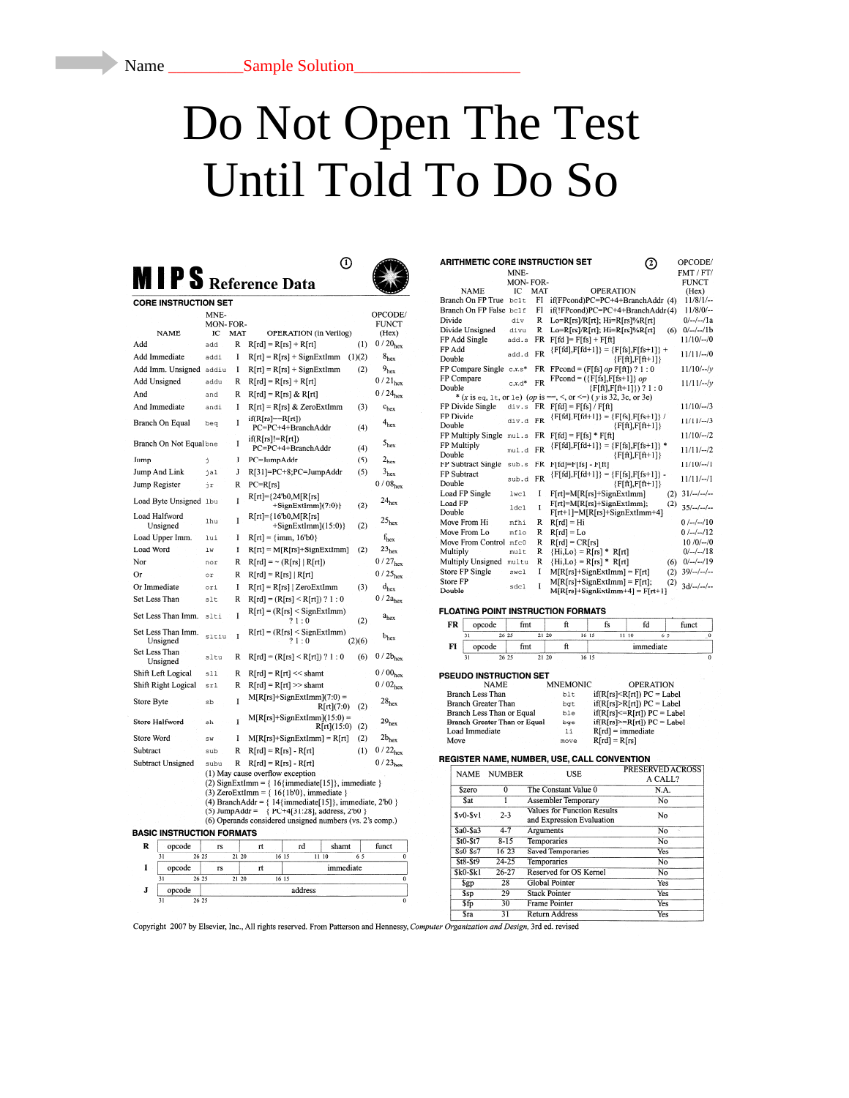# Do Not Open The Test Until Told To Do So

 $\odot$ 

| <b>MIPS</b> Reference Data |  |
|----------------------------|--|
|----------------------------|--|

| CORE INSTRUCTION SET             |                       |       |                                                                                                            |        |                       |
|----------------------------------|-----------------------|-------|------------------------------------------------------------------------------------------------------------|--------|-----------------------|
|                                  | MNE-                  |       |                                                                                                            |        | OPCODE/               |
| <b>NAME</b>                      | <b>MON-FOR-</b><br>IC | MAT   | OPERATION (in Verilog)                                                                                     |        | <b>FUNCT</b><br>(Hex) |
| Add                              | add                   | R     | $R[rd] = R[rs] + R[rt]$                                                                                    | (1)    | $0/20_{hex}$          |
| Add Immediate                    | addi                  | I     | $R[rt] = R[rs] + SignExtImm$                                                                               | (1)(2) | 8 <sub>hex</sub>      |
| Add Imm. Unsigned                | addiu                 | I     | $R[rt] = R[rs] + SignExtImm$                                                                               | (2)    | 9 <sub>hex</sub>      |
| Add Unsigned                     | addu                  | R     | $R[rd] = R[rs] + R[rt]$                                                                                    |        | $0/21_{hex}$          |
| And                              | and                   | R     | $R[rd] = R[rs] & R[rt]$                                                                                    |        | $0/24_{hex}$          |
| And Immediate                    | andi                  | I     | R[rt] = R[rs] & ZeroExtImm                                                                                 | (3)    | $c_{hex}$             |
| Branch On Equal                  | bea                   | I     | $if(R[rs] == R[rt])$<br>PC=PC+4+BranchAddr                                                                 | (4)    | 4 <sub>hex</sub>      |
| Branch On Not Equal bne          |                       | I     | $if(R[rs]!=R[rt])$<br>PC=PC+4+BranchAddr                                                                   | (4)    | $5_{\rm hex}$         |
| Jump                             | j                     | J     | PC=JumpAddr                                                                                                | (5)    | $2_{\text{hex}}$      |
| Jump And Link                    | jal                   | J     | R[31]=PC+8;PC=JumpAddr                                                                                     | (5)    | 3 <sub>hex</sub>      |
| Jump Register                    | ήr                    | R     | $PC=R[rs]$                                                                                                 |        | 0/08 <sub>hex</sub>   |
| Load Byte Unsigned 1bu           |                       | I     | $R[rt]= {24^{\circ}b0,M[}R[rs]$<br>$+SignExtImm(7:0)$                                                      | (2)    | $24_{hex}$            |
| Load Halfword<br>Unsigned        | lhu                   | I     | $R[rt]={16'b0,M[RIrs]}$<br>$+SignExtImm](15:0)$                                                            | (2)    | 25 <sub>hex</sub>     |
| Load Upper Imm.                  | lui                   | I     | $R[rt] = {imm, 16'b0}$                                                                                     |        | $f_{hex}$             |
| Load Word                        | 1w                    | I     | $R[rt] = M[R[rs]+SignExtImm]$                                                                              | (2)    | 23 <sub>hex</sub>     |
| Nor                              | nor                   | Ŕ     | $R[rd] = \sim (R[rs]   R[rt])$                                                                             |        | $0/27_{hex}$          |
| Or                               | or                    | R     | $R[rd] = R[rs]   R[rt]$                                                                                    |        | $0/25_{\text{hex}}$   |
| Or Immediate                     | ori                   | I     | $R[rt] = R[rs]$   ZeroExtImm                                                                               | (3)    | $d_{hex}$             |
| Set Less Than                    | slt                   | R     | $R[rd] = (R[rs] < R[rt]) ? 1 : 0$                                                                          |        | $0/2a$ <sub>hex</sub> |
| Set Less Than Imm.               | slti                  | I     | $R[rt] = (R[rs] <$ SignExtImm)<br>?1:0                                                                     | (2)    | $a_{hex}$             |
| Set Less Than Imm.<br>Unsigned   | sltiu                 | I     | $R[rt] = (R[rs] <$ SignExtImm)<br>?1:0                                                                     | (2)(6) | $b_{hex}$             |
| Set Less Than<br>Unsigned        | sltu                  | R     | $R[rd] = (R[rs] < R[rt]) ? 1 : 0$                                                                          | (6)    | $0/2b_{hex}$          |
| Shift Left Logical               | sll                   | R     | $R[rd] = R[rt] \ll shamt$                                                                                  |        | 0/00 <sub>hex</sub>   |
| Shift Right Logical              | srl                   | R     | $R[rd] = R[rt] >> shamt$                                                                                   |        | 0/02 <sub>hex</sub>   |
| Store Byte                       | sb                    | I     | $M[R[rs]+SignExtImm](7:0) =$<br>R[rt](7:0)                                                                 | (2)    | $28_{hex}$            |
| Storc Halfword                   | sh                    | I     | $M[R[rs]+SignExtImm](15:0) =$<br>R[rt](15:0)                                                               | (2)    | 29 <sub>hex</sub>     |
| Store Word                       | sw                    | I     | $M[R[rs]+SignExtImm] = R[rt]$                                                                              | (2)    | $2b_{hex}$            |
| Subtract                         | sub                   | R     | $R[rd] = R[rs] - R[rt]$                                                                                    | (1)    | $0/22_{hex}$          |
| <b>Subtract Unsigned</b>         | subu                  | R     | $R[rd] = R[rs] - R[rt]$                                                                                    |        | $0/23_{\text{hex}}$   |
|                                  |                       |       | (1) May cause overflow exception<br>(2) SignExtImm = $\{ 16\{\text{immediate}[15]\}, \text{immediate } \}$ |        |                       |
|                                  |                       |       | (3) ZeroExtImm = ${16{1b'0}}$ , immediate }                                                                |        |                       |
|                                  |                       |       | (4) BranchAddr = $\{14\}$ immediate[15], immediate, 2'b0 }                                                 |        |                       |
|                                  |                       |       | (5) JumpAddr = { PC+4[31:28], address, 2'b0 }<br>(6) Operands considered unsigned numbers (vs. 2's comp.)  |        |                       |
| <b>BASIC INSTRUCTION FORMATS</b> |                       |       |                                                                                                            |        |                       |
| R<br>opcode                      | rs                    |       | rt<br>rd<br>shamt                                                                                          |        | funct                 |
| 31<br>26 25                      |                       | 21 20 | 1110<br>16 15                                                                                              | 65     | $\overline{0}$        |
| I<br>opcode                      | rs                    |       | immediate<br>rt                                                                                            |        |                       |
| 31<br>26 25                      |                       | 21 20 | 16 15                                                                                                      |        | $\overline{0}$        |
| J<br>opcode                      |                       |       | address                                                                                                    |        |                       |
| 31<br>26 25                      |                       |       |                                                                                                            |        | $\overline{0}$        |

| <b>ARITHMETIC CORE INSTRUCTION SET</b> |          |           | $\mathcal{I}$                                                                 | OPCODE/        |
|----------------------------------------|----------|-----------|-------------------------------------------------------------------------------|----------------|
|                                        | MNE-     |           |                                                                               | FMT / FT/      |
|                                        | MON-FOR- |           |                                                                               | <b>FUNCT</b>   |
| <b>NAME</b>                            | īС       | MAT       | <b>OPERATION</b>                                                              | (Hex)          |
| Branch On FP True                      | bc1t     | FI        | if(FPcond)PC=PC+4+BranchAddr (4)                                              | $11/8/1/$ --   |
| Branch On FP False be1f                |          | FI        | if(!FPcond)PC=PC+4+BranchAddr(4)                                              | $11/8/0/$ --   |
| Divide                                 | div      | R         | $Lo=R[rs]/R[rt]$ ; $Hi=R[rs]\%R[rt]$                                          | $0/$ --/--/1a  |
| Divide Unsigned                        | divu     | R         | $Lo=R[rs]/R[rt]$ ; $Hi=R[rs]\%R[rt]$<br>(6)                                   | $0/-/-/1b$     |
| FP Add Single                          | add.s    | FR        | $F[fd] = F[fs] + F[ft]$                                                       | $11/10/ - 0$   |
| FP Add<br>Double                       | add.d    | FR        | $\{Ffd], Ffd+1\} = \{F[fs], F[fs+1]\} +$<br>${Fft}, Fft+1}$                   | 11/11/–0       |
| FP Compare Single $cx.s$ <sup>*</sup>  |          |           | FR FPcond = $(F[fs] op F[ft]) ? 1 : 0$                                        | $11/10/-/v$    |
| FP Compare<br>Double                   | $c.x.d*$ | FR        | $FPcond = (\{F[fs], F[fs+1]\} op$<br>$\{F[f_1], F[f_1+1]\}\$ ? 1 : 0          | $11/11$ /--/v  |
|                                        |          |           | * (x is eq. 1t, or 1e) (op is = -, <, or < = ) (y is 32, 3c, or 3e)           |                |
| FP Divide Single                       |          |           | div.s $FR$ $Ffd$ = $Ffs$ / $Fft$                                              | $11/10/-/3$    |
| FP Divide<br>Double                    | div.d    | <b>FR</b> | ${Ffd}, Ffd+1} = {F[fs], F[fs+1]} /$<br>$\{Fftl.Fft+11\}$                     | $11/11/-/3$    |
| FP Multiply Single                     | mul.s    | FR        | $Ffd] = F[fs] * F[ft]$                                                        | $11/10/-2$     |
| FP Multiply<br>Double                  | mul.d    | <b>FR</b> | ${Ffd}, Ffd+1} = {Ffs}, Ffs+1} *$<br>${Fft}, Fft+1}$                          | $11/11$ /--/2  |
| FP Subtract Single                     | sub.s    | FR        | $F[fd]=F[fs]-F[ft]$                                                           | $11/10/-1$     |
| FP Subtract<br>Double                  | sub.d    | <b>FR</b> | ${Ffd}, Ffd+1} = {F[fs], F[fs+1]}$ .<br>$\{F[f_t], F[f_t+1]\}$                | $11/11/-1$     |
| Load FP Single                         | lwc1     | I         | $F[rt] = M[R[rs]+SignExtImm]$<br>(2)                                          | $31/-/-/-$     |
| Load FP<br>Double                      | 1dc1     | I         | F[rt]=M[R[rs]+SignExtImm];<br>(2)<br>$F[rt+1]=M[R[rs]+SignExtImm+4]$          | $35/-/-$       |
| Move From Hi                           | mfhi     | R         | $R[rd] = Hi$                                                                  | $0/-/-10$      |
| Move From Lo                           | mflo     | R         | $R[rd] = Lo$                                                                  | $0$ /--/--/12  |
| Move From Control mfc0                 |          | R         | $R[rd] = CR[rs]$                                                              | $10/0/-/0$     |
| Multiply                               | mult     | R         | ${Hi, Lo} = R[rs] * R[rt]$                                                    | $0/-/-/18$     |
| Multiply Unsigned                      | multu    | R         | ${Hi, Lo} = R[rs] * R[rt]$<br>(6)                                             | $0/-/-/19$     |
| <b>Store FP Single</b>                 | swc1     | I         | $M[R[rs] + SignExtImm] = F[rt]$<br>(2)                                        | $39/---/---$   |
| Store FP<br>Double                     | sdcl     | I         | $M[R[rs]+SignExt[mm] = F[rt]$ :<br>(2)<br>$M[R[rs] + SignExtImm+4] = F[rt+1]$ | $3d/$ --/--/-- |

## FLOATING POINT INSTRUCTION FORMATS

| FR                            | opcode |       | fmt |       |       |  |           | İS | fd    |    | funct |
|-------------------------------|--------|-------|-----|-------|-------|--|-----------|----|-------|----|-------|
|                               | 31     | 26 25 |     | 21,20 |       |  | 16 15     |    | 11 10 | 65 |       |
| FI                            | opcode |       | fmt |       |       |  | immediate |    |       |    |       |
|                               | 31     | 26 25 |     |       | 21 20 |  | 16 15     |    |       |    |       |
| <b>PSEUDO INSTRUCTION SET</b> |        |       |     |       |       |  |           |    |       |    |       |

| <b>NAME</b>                  | <b>MNEMONIC</b> | <b>OPERATION</b>                  |
|------------------------------|-----------------|-----------------------------------|
| Branch Less Than             | blt.            | $if(R[rs] < R[rt]) PC = Label$    |
| Branch Greater Than          | bat             | $if(R[rs] > R[rt]) PC = Label$    |
| Branch Less Than or Equal    | ble             | $if(R[rs] \leq R[rt]) PC = Label$ |
| Branch Greater Than or Equal | bge             | $if(R[rs] > R[rt]) PC = Label$    |
| Load Immediate               | 1 i             | $R[rd] = immediate$               |
| Move                         | move            | $R[rd] = R[rs]$                   |

### REGISTER NAME, NUMBER, USE, CALL CONVENTION

| <b>NAME</b> | <b>NUMBER</b> | USE                                                             | PRESERVED ACROSS<br>A CALL? |
|-------------|---------------|-----------------------------------------------------------------|-----------------------------|
| Szero       | $\Omega$      | The Constant Value 0                                            | N.A.                        |
| Sat         |               | <b>Assembler Temporary</b>                                      | No                          |
| $Sv0-Sv1$   | $2 - 3$       | <b>Values for Function Results</b><br>and Expression Evaluation | No                          |
| $SaO-Sa3$   | $4 - 7$       | Arguments                                                       | No                          |
| $St0-St7$   | $8 - 15$      | <b>Temporaries</b>                                              | N <sub>o</sub>              |
| $$s0-Ss7$   | $16 - 23$     | <b>Saved Temporaries</b>                                        | Yes                         |
| $$t8-St9$   | $24 - 25$     | Temporaries                                                     | No                          |
| $Sk0-Sk1$   | $26 - 27$     | Reserved for OS Kernel                                          | No                          |
| Sgp         | 28            | <b>Global Pointer</b>                                           | Yes                         |
| Ssp         | 29            | <b>Stack Pointer</b>                                            | Yes                         |
| \$fp        | 30            | <b>Frame Pointer</b>                                            | Yes                         |
| <b>Sra</b>  | 31            | <b>Return Address</b>                                           | Yes                         |

Copyright 2007 by Elsevier, Inc., All rights reserved. From Patterson and Hennessy, Computer Organization and Design, 3rd ed. revised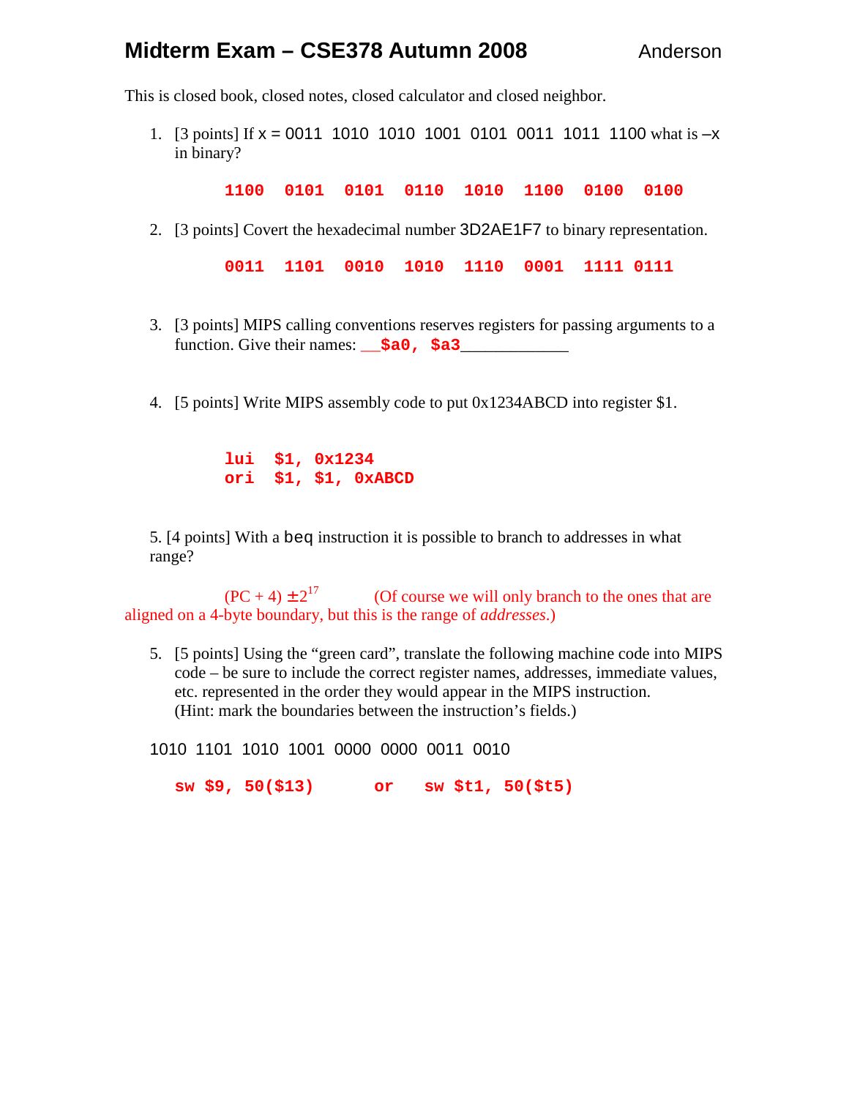# **Midterm Exam – CSE378 Autumn 2008** Anderson

This is closed book, closed notes, closed calculator and closed neighbor.

1. [3 points] If  $x = 0011$  1010 1010 1001 0101 0011 1011 1100 what is  $-x$ in binary?

**1100 0101 0101 0110 1010 1100 0100 0100** 

2. [3 points] Covert the hexadecimal number 3D2AE1F7 to binary representation.

**0011 1101 0010 1010 1110 0001 1111 0111** 

- 3. [3 points] MIPS calling conventions reserves registers for passing arguments to a function. Give their names: **\_\_\$a0, \$a3**\_\_\_\_\_\_\_\_\_\_\_\_\_
- 4. [5 points] Write MIPS assembly code to put 0x1234ABCD into register \$1.

 **lui \$1, 0x1234 ori \$1, \$1, 0xABCD** 

5. [4 points] With a beq instruction it is possible to branch to addresses in what range?

 $(PC + 4) \pm 2^{17}$  (Of course we will only branch to the ones that are aligned on a 4-byte boundary, but this is the range of *addresses*.)

5. [5 points] Using the "green card", translate the following machine code into MIPS code – be sure to include the correct register names, addresses, immediate values, etc. represented in the order they would appear in the MIPS instruction. (Hint: mark the boundaries between the instruction's fields.)

1010 1101 1010 1001 0000 0000 0011 0010

**sw \$9, 50(\$13) or sw \$t1, 50(\$t5)**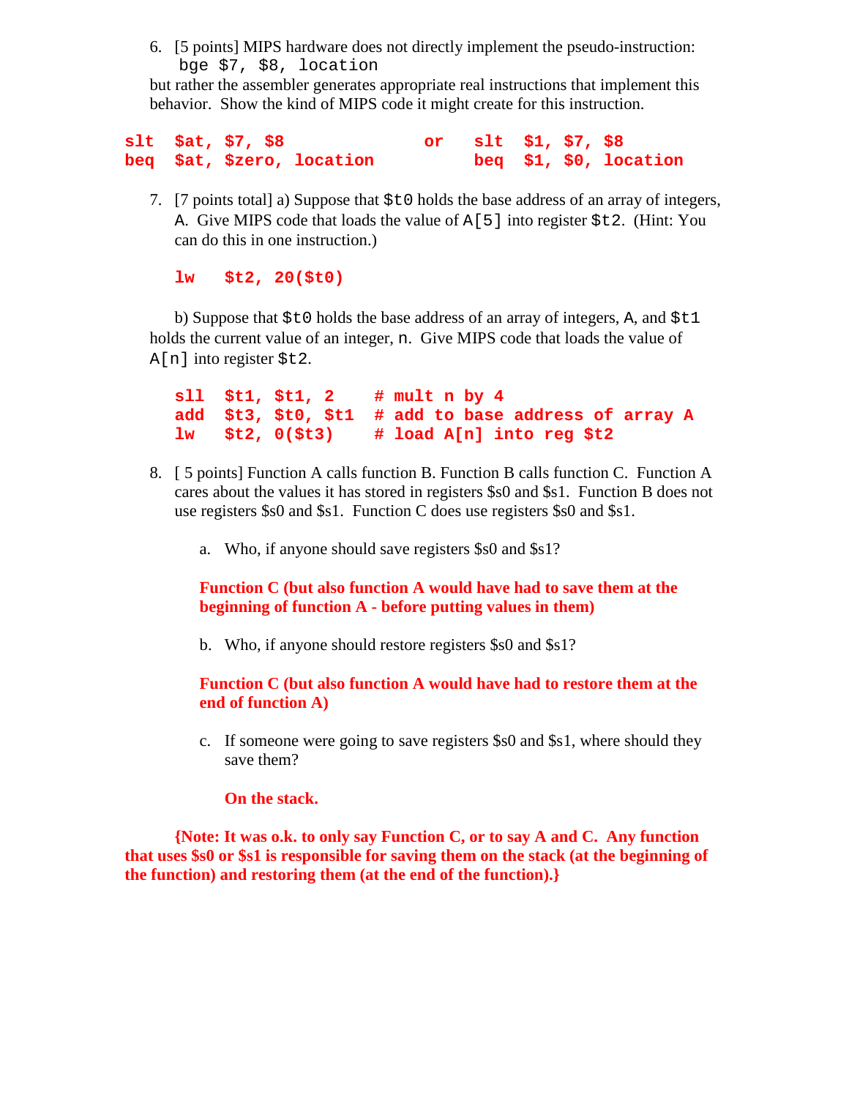6. [5 points] MIPS hardware does not directly implement the pseudo-instruction: bge \$7, \$8, location

but rather the assembler generates appropriate real instructions that implement this behavior. Show the kind of MIPS code it might create for this instruction.

|  | $slt$ $\zeta$ at, $\zeta$ 7, $\zeta$ 8 | or $slt$ $\zeta1, \zeta7, \zeta8$ |  |                        |
|--|----------------------------------------|-----------------------------------|--|------------------------|
|  | beq \$at, \$zero, location             |                                   |  | beq $$1, $0,$ location |

7. [7 points total] a) Suppose that \$t0 holds the base address of an array of integers, A. Give MIPS code that loads the value of  $A[5]$  into register  $$t2$ . (Hint: You can do this in one instruction.)

## **lw \$t2, 20(\$t0)**

b) Suppose that  $$t0$  holds the base address of an array of integers, A, and  $$t1$ holds the current value of an integer, n. Give MIPS code that loads the value of A[n] into register \$t2.

**sll \$t1, \$t1, 2 # mult n by 4 add \$t3, \$t0, \$t1 # add to base address of array A lw \$t2, 0(\$t3) # load A[n] into reg \$t2** 

- 8. [ 5 points] Function A calls function B. Function B calls function C. Function A cares about the values it has stored in registers \$s0 and \$s1. Function B does not use registers \$s0 and \$s1. Function C does use registers \$s0 and \$s1.
	- a. Who, if anyone should save registers \$s0 and \$s1?

**Function C (but also function A would have had to save them at the beginning of function A - before putting values in them)** 

b. Who, if anyone should restore registers \$s0 and \$s1?

**Function C (but also function A would have had to restore them at the end of function A)** 

c. If someone were going to save registers \$s0 and \$s1, where should they save them?

## **On the stack.**

**{Note: It was o.k. to only say Function C, or to say A and C. Any function that uses \$s0 or \$s1 is responsible for saving them on the stack (at the beginning of the function) and restoring them (at the end of the function).}**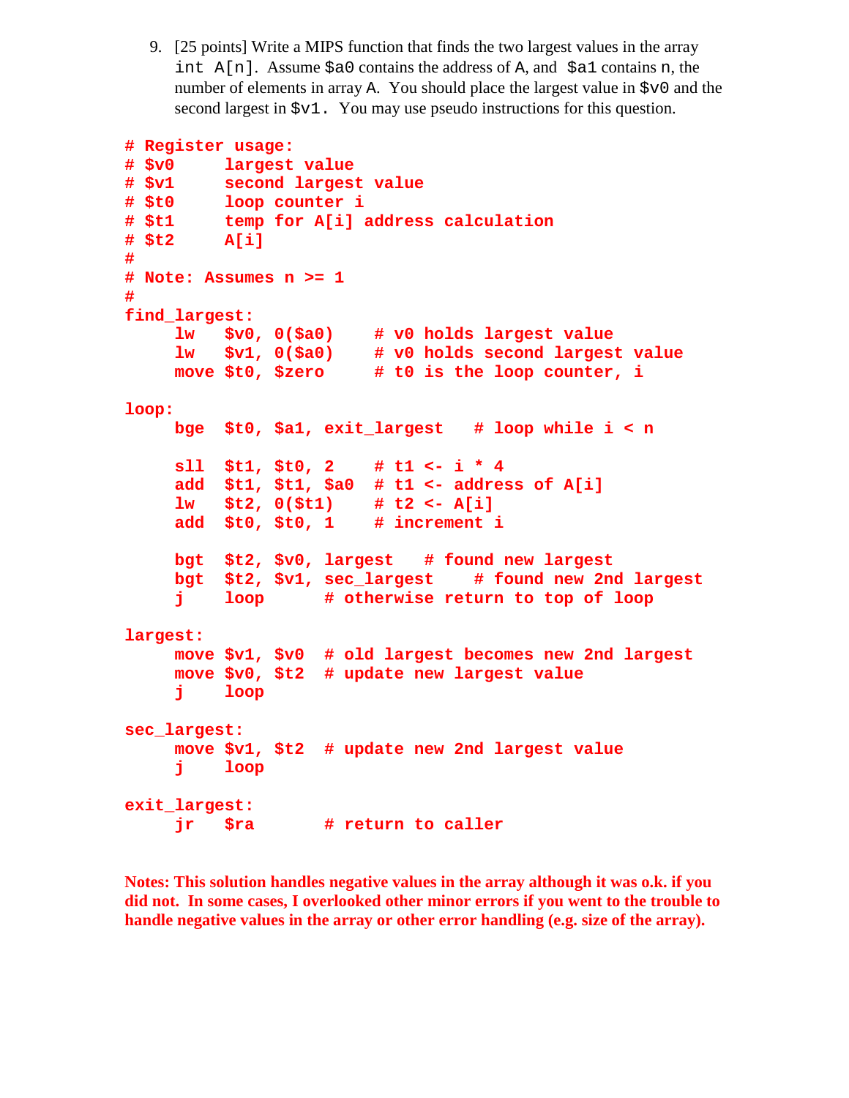9. [25 points] Write a MIPS function that finds the two largest values in the array int  $A[n]$ . Assume  $\alpha=0$  contains the address of A, and  $\alpha=0$  contains n, the number of elements in array A. You should place the largest value in \$v0 and the second largest in  $\zeta v1$ . You may use pseudo instructions for this question.

```
# Register usage: 
# $v0 largest value 
# $v1 second largest value 
# $t0 loop counter i 
# $t1 temp for A[i] address calculation 
# $t2 A[i] 
# 
# Note: Assumes n >= 1 
# 
find_largest: 
     lw $v0, 0($a0) # v0 holds largest value 
     lw $v1, 0($a0) # v0 holds second largest value 
     move $t0, $zero # t0 is the loop counter, i 
loop: 
     bge $t0, $a1, exit_largest # loop while i < n 
     sll $t1, $t0, 2 # t1 <- i * 4 
     add $t1, $t1, $a0 # t1 <- address of A[i] 
     lw $t2, 0($t1) # t2 <- A[i] 
     add $t0, $t0, 1 # increment i 
     bgt $t2, $v0, largest # found new largest 
     bgt $t2, $v1, sec_largest # found new 2nd largest 
     j loop # otherwise return to top of loop 
largest: 
     move $v1, $v0 # old largest becomes new 2nd largest 
     move $v0, $t2 # update new largest value 
     j loop 
sec_largest: 
     move $v1, $t2 # update new 2nd largest value 
     j loop 
exit_largest: 
     jr $ra # return to caller
```
**Notes: This solution handles negative values in the array although it was o.k. if you did not. In some cases, I overlooked other minor errors if you went to the trouble to handle negative values in the array or other error handling (e.g. size of the array).**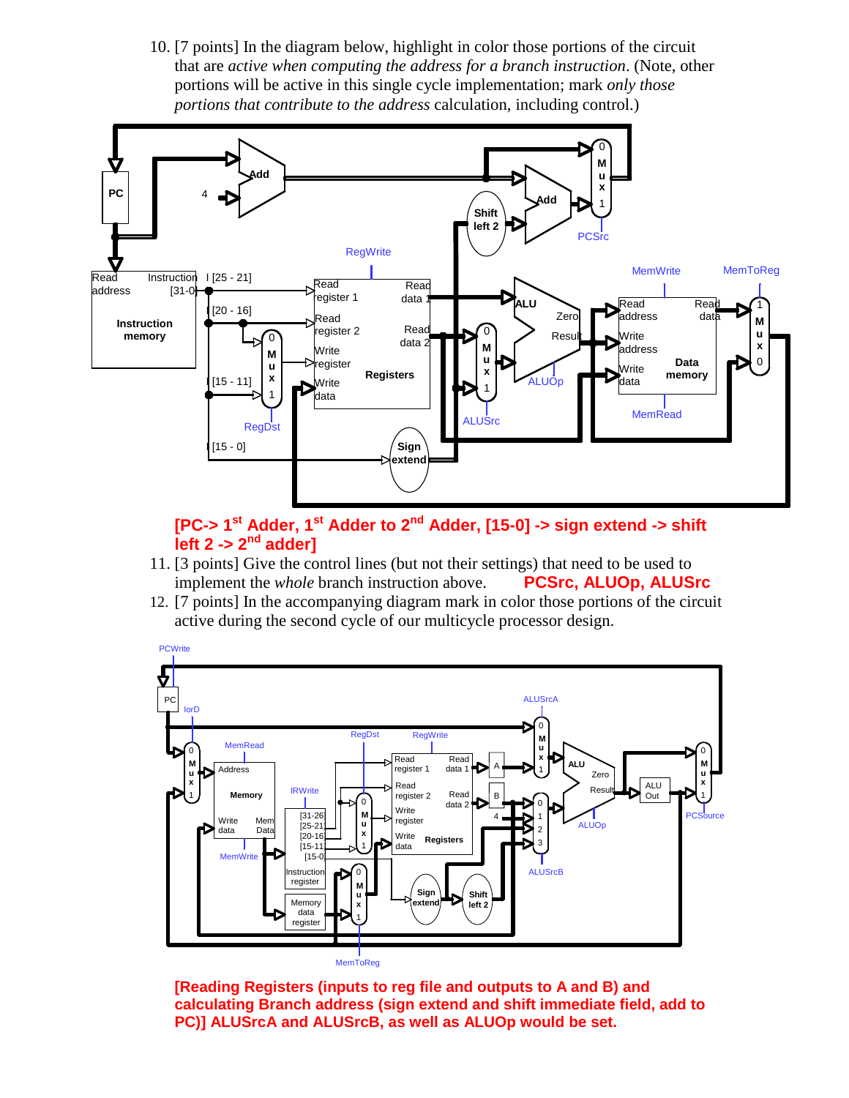10. [7 points] In the diagram below, highlight in color those portions of the circuit that are *active when computing the address for a branch instruction*. (Note, other portions will be active in this single cycle implementation; mark *only those portions that contribute to the address* calculation, including control.)



## **[PC-> 1st Adder, 1st Adder to 2nd Adder, [15-0] -> sign extend -> shift left 2 -> 2nd adder]**

- 11. [3 points] Give the control lines (but not their settings) that need to be used to implement the *whole* branch instruction above. **PCSrc, ALUOp, ALUSrc**
- 12. [7 points] In the accompanying diagram mark in color those portions of the circuit active during the second cycle of our multicycle processor design.



**[Reading Registers (inputs to reg file and outputs to A and B) and calculating Branch address (sign extend and shift immediate field, add to PC)] ALUSrcA and ALUSrcB, as well as ALUOp would be set.**